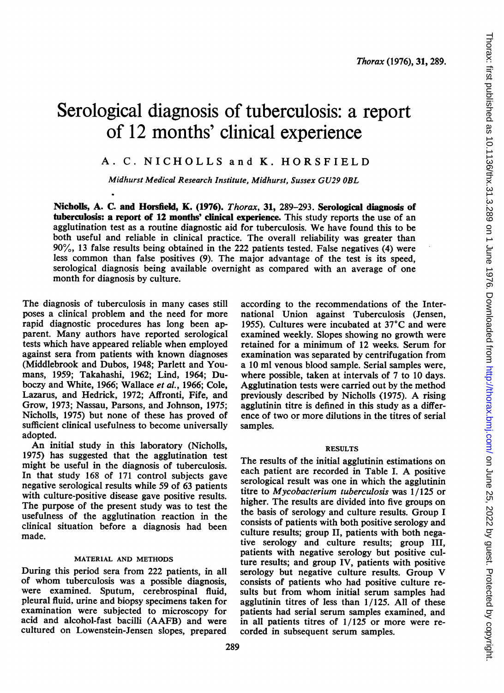# Serological diagnosis of tuberculosis: a report of 12 months' clinical experience

# A. C. NICHOLLS and K. HORSFIELD

Midhurst Medical Research Institute, Midhurst, Sussex GU29 OBL

Nicholls, A. C. and Horsfield, K. (1976). Thorax, 31, 289-293. Serological diagnosis of tuberculosis: a report of 12 months' clinical experience. This study reports the use of an agglutination test as <sup>a</sup> routine diagnostic aid for tuberculosis. We have found this to be both useful and reliable in clinical practice. The overall reliability was greater than 90%, 13 false results being obtained in the 222 patients tested. False negatives (4) were less common than false positives (9). The major advantage of the test is its speed, serological diagnosis being available overnight as compared with an average of one month for diagnosis by culture.

The diagnosis of tuberculosis in many cases still poses a clinical problem and the need for more rapid diagnostic procedures has long been apparent. Many authors have reported serological tests which have appeared reliable when employed against sera from patients with known diagnoses (Middlebrook and Dubos, 1948; Parlett and Youmans, 1959; Takahashi, 1962; Lind, 1964; Duboczy and White, 1966; Wallace et al., 1966; Cole, Lazarus, and Hedrick, 1972; Affronti, Fife, and Grow, 1973; Nassau, Parsons, and Johnson, 1975; Nicholls, 1975) but none of these has proved of sufficient clinical usefulness to become universally adopted.

An initial study in this laboratory (Nicholls, 1975) has suggested that the agglutination test might be useful in the diagnosis of tuberculosis. In that study 168 of 171 control subjects gave negative serological results while 59 of 63 patients with culture-positive disease gave positive results. The purpose of the present study was to test the usefulness of the agglutination reaction in the clinical situation before a diagnosis had been made.

## MATERIAL AND METHODS

During this period sera from 222 patients, in all of whom tuberculosis was a possible diagnosis, were examined. Sputum, cerebrospinal fluid, pleural fluid, urine and biopsy specimens taken for examination were subjected to microscopy for acid and alcohol-fast bacilli (AAFB) and were cultured on Lowenstein-Jensen slopes, prepared

289

according to the recommendations of the International Union against Tuberculosis (Jensen, 1955). Cultures were incubated at 37'C and were examined weekly. Slopes showing no growth were retained for a minimum of 12 weeks. Serum for examination was separated by centrifugation from a 10 ml venous blood sample. Serial samples were, where possible, taken at intervals of 7 to 10 days. Agglutination tests were carried out by the method previously described by Nicholls (1975). A rising agglutinin titre is defined in this study as a difference of two or more dilutions in the titres of serial samples.

## RESULTS

The results of the initial agglutinin estimations on each patient are recorded in Table I. A positive serological result was one in which the agglutinin titre to Mycobacterium tuberculosis was 1/125 or higher. The results are divided into five groups on the basis of serology and culture results. Group <sup>I</sup> consists of patients with both positive serology and culture results; group II, patients with both negative serology and culture results; group III, patients with negative serology but positive culture results; and group IV, patients with positive serology but negative culture results. Group V consists of patients who had positive culture results but from whom initial serum samples had agglutinin titres of less than 1/125. All of these patients had serial serum samples examined, and in all patients titres of  $1/125$  or more were recorded in subsequent serum samples.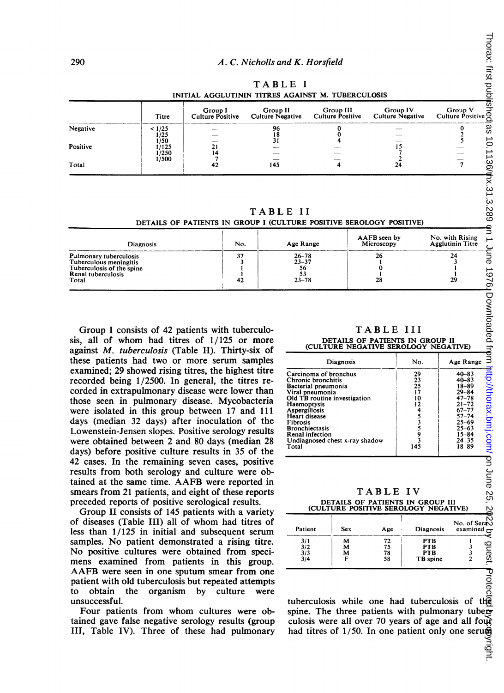TABLE <sup>I</sup>

| INITIAL AGGLUTININ TITRES AGAINST M. TUBERCULOSIS |                        |                             |          |           |                                                                                                |         |  |
|---------------------------------------------------|------------------------|-----------------------------|----------|-----------|------------------------------------------------------------------------------------------------|---------|--|
|                                                   | Titre                  | Group I<br>Culture Positive | Group II | Group III | Group IV<br>Culture Negative Culture Positive Culture Negative Culture Positive $\mathfrak{g}$ | Group V |  |
| Negative                                          | < 1/25<br>1/25         |                             | 96       |           |                                                                                                |         |  |
| Positive                                          | 1/50<br>1/125<br>1/250 |                             |          |           |                                                                                                |         |  |
| Total                                             | 1/500                  |                             | 145      |           |                                                                                                |         |  |

TABLE II DETAILS OF PATIENTS IN GROUP <sup>I</sup> (CULTURE POSITIVE SEROLOGY POSITIVE)

| <b>Diagnosis</b>                                                                                             | No.      | Age Range                                 | AAFB seen by<br>Microscopy | No. with Rising<br><b>Agglutinin Titre</b> |  |
|--------------------------------------------------------------------------------------------------------------|----------|-------------------------------------------|----------------------------|--------------------------------------------|--|
| Pulmonary tuberculosis<br>Tuberculous meningitis<br>Tuberculosis of the spine<br>Renal tuberculosis<br>Total | 37<br>42 | $26 - 78$<br>$23 - 37$<br>56<br>$23 - 78$ | 26<br>28                   | 24<br>29                                   |  |

Group <sup>I</sup> consists of 42 patients with tuberculosis, all of whom had titres of  $1/125$  or more against M. tuberculosis (Table II). Thirty-six of these patients had two or more serum samples examined; 29 showed rising titres, the highest titre recorded being 1/2500. In general, the titres recorded in extrapulmonary disease were lower than those seen in pulmonary disease. Mycobacteria were isolated in this group between 17 and 111 days (median 32 days) after inoculation of the Lowenstein-Jensen slopes. Positive serology results were obtained between 2 and 80 days (median 28 days) before positive culture results in 35 of the 42 cases. In the remaining seven cases, positive results from both serology and culture were obtained at the same time. AAFB were reported in smears from 21 patients, and eight of these reports preceded reports of positive serological results.

Group II consists of 145 patients with a variety of diseases (Table III) all of whom had titres of less than 1/125 in initial and subsequent serum samples. No patient demonstrated a rising titre. No positive cultures were obtained from specimens examined from patients in this group. AAFB were seen in one sputum smear from one patient with old tuberculosis but repeated attempts to obtain the organism by culture were unsuccessful.

Four patients from whom cultures were obtained gave false negative serology results (group III, Table IV). Three of these had pulmonary

TABLE III DETAILS OF PATIENTS IN GROUP II (CULTURE NEGATIVE SEROLOGY NEGATIVE)

| <b>Diagnosis</b>                                                                                                                                                                                                                                                          | No.                                     | Age Range                                                                                                                                                         |
|---------------------------------------------------------------------------------------------------------------------------------------------------------------------------------------------------------------------------------------------------------------------------|-----------------------------------------|-------------------------------------------------------------------------------------------------------------------------------------------------------------------|
| Carcinoma of bronchus<br>Chronic bronchitis<br>Bacterial pneumonia<br>Viral pneumonia<br>Old TB routine investigation<br>Haemoptysis<br>Aspergillosis<br>Heart disease<br>Fibrosis<br><b>Bronchiectasis</b><br>Renal infection<br>Undiagnosed chest x-ray shadow<br>Total | 29<br>23<br>25<br>17<br>10<br>12<br>145 | $40 - 83$<br>$40 - 83$<br>$18 - 89$<br>$29 - 84$<br>$47 - 78$<br>$21 - 72$<br>$67 - 77$<br>$57 - 74$<br>$25 - 69$<br>$25 - 63$<br>$15 - 84$<br>$24 - 35$<br>18-89 |

## TABLE IV DETAILS OF PATIENTS IN GROUP III<br>ILTURE POSITIVE SEROLOGY NEGATIVE) (CULTURE POSITIVE SEROLOGY

| Patient                  | Sex         | Age                  | Diagnosis                                   | No. of Sera<br>examined $\overline{a}$ |
|--------------------------|-------------|----------------------|---------------------------------------------|----------------------------------------|
| 3/1<br>3/2<br>3/3<br>3/4 | м<br>M<br>м | 72<br>75<br>78<br>58 | <b>PTB</b><br>PTB<br><b>PTB</b><br>TB spine | quest                                  |

tuberculosis while one had tuberculosis of the spine. The three patients with pulmonary tuberculosis were all over 70 years of age and all four had titres of 1/50. In one patient only one seruma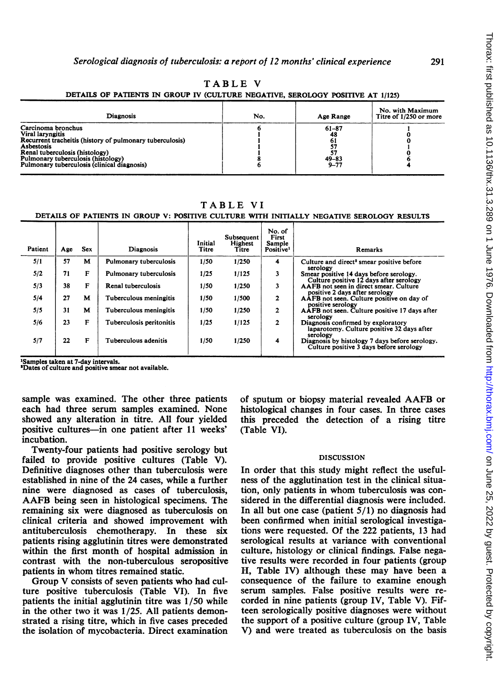| TABLE |  |  |
|-------|--|--|
|       |  |  |

| <b>Diagnosis</b>                                                                                                                                                                                                                        | No. | Age Range                                      | No. with Maximum<br>Titre of 1/250 or more |
|-----------------------------------------------------------------------------------------------------------------------------------------------------------------------------------------------------------------------------------------|-----|------------------------------------------------|--------------------------------------------|
| Carcinoma bronchus<br>Viral laryngitis<br>Recurrent tracheitis (history of pulmonary tuberculosis)<br>Asbestosis<br>Renal tuberculosis (histology)<br>Pulmonary tuberculosis (histology)<br>Pulmonary tuberculosis (clinical diagnosis) |     | $61 - 87$<br>48<br>01<br>$49 - 83$<br>$9 - 77$ |                                            |

DETAILS OF PATIENTS IN GROUP IV (CULTURE NEGATIVE, SEROLOGY POSITIVE AT 1/125)

TABLE VI

# DETAILS OF PATIENTS IN GROUP V: POSITIVE CULTURE WITH INITIALLY NEGATIVE SEROLOGY RESULTS

| Patient | Age | <b>Sex</b> | <b>Diagnosis</b>         | Initial<br>Titre | Subsequent<br>Highest<br>Titre | No. of<br>First<br>Sample<br>Positive <sup>1</sup> | Remarks                                                                                      |
|---------|-----|------------|--------------------------|------------------|--------------------------------|----------------------------------------------------|----------------------------------------------------------------------------------------------|
| 5/1     | 57  | м          | Pulmonary tuberculosis   | 1/50             | 1/250                          | 4                                                  | Culture and direct <sup>2</sup> smear positive before<br>serology                            |
| 5/2     | 71  | F          | Pulmonary tuberculosis   | 1/25             | 1/125                          | 3                                                  | Smear positive 14 days before serology.<br>Culture positive 12 days after serology           |
| 5/3     | 38  | F          | Renal tuberculosis       | 1/50             | 1/250                          | 3                                                  | AAFB not seen in direct smear. Culture<br>positive 2 days after serology                     |
| 5/4     | 27  | М          | Tuberculous meningitis   | 1/50             | 1/500                          | $\mathbf{2}$                                       | AAFB not seen. Culture positive on day of<br>positive serology                               |
| 5/5     | 31  | м          | Tuberculous meningitis   | 1/50             | 1/250                          | $\mathbf{2}$                                       | AAFB not seen. Culture positive 17 days after<br>serology                                    |
| 5/6     | 23  | F          | Tuberculosis peritonitis | 1/25             | 1/125                          | $\mathbf{2}$                                       | Diagnosis confirmed by exploratory<br>laparotomy. Culture positive 32 days after<br>serology |
| 5/7     | 22  | F          | Tuberculous adenitis     | 1/50             | 1/250                          | $\overline{\mathbf{4}}$                            | Diagnosis by histology 7 days before serology.<br>Culture positive 3 days before serology    |

<sup>1</sup>Samples taken at 7-day intervals.<br><sup>3</sup>Dates of culture and positive smear not available.

sample was examined. The other three patients each had three serum samples examined. None showed any alteration in titre. All four yielded positive cultures-in one patient after 11 weeks' incubation.

Twenty-four patients had positive serology but failed to provide positive cultures (Table V). Definitive diagnoses other than tuberculosis were established in nine of the 24 cases, while a further nine were diagnosed as cases of tuberculosis, AAFB being seen in histological specimens. The remaining six were diagnosed as tuberculosis on clinical criteria and showed improvement with antituberculosis chemotherapy. In these six patients rising agglutinin titres were demonstrated within the first month of hospital admission in contrast with the non-tuberculous seropositive patients in whom titres remained static.

Group V consists of seven patients who had culture positive tuberculosis (Table VI). In five patients the initial agglutinin titre was 1/50 while in the other two it was 1/25. All patients demonstrated a rising titre, which in five cases preceded the isolation of mycobacteria. Direct examination of sputum or biopsy material revealed AAFB or histological changes in four cases. In three cases this preceded the detection of a rising titre (Table VI).

### DISCUSSION

In order that this study might reflect the usefulness of the agglutination test in the clinical situation, only patients in whom tuberculosis was considered in the differential diagnosis were included. In all but one case (patient  $5/1$ ) no diagnosis had been confirmed when initial serological investigations were requested. Of the 222 patients, 13 had serological results at variance with conventional culture, histology or clinical findings. False negative results were recorded in four patients (group II, Table IV) although these may have been a consequence of the failure to examine enough serum samples. False positive results were recorded in nine patients (group IV, Table V). Fifteen serologically positive diagnoses were without the support of a positive culture (group IV, Table V) and were treated as tuberculosis on the basis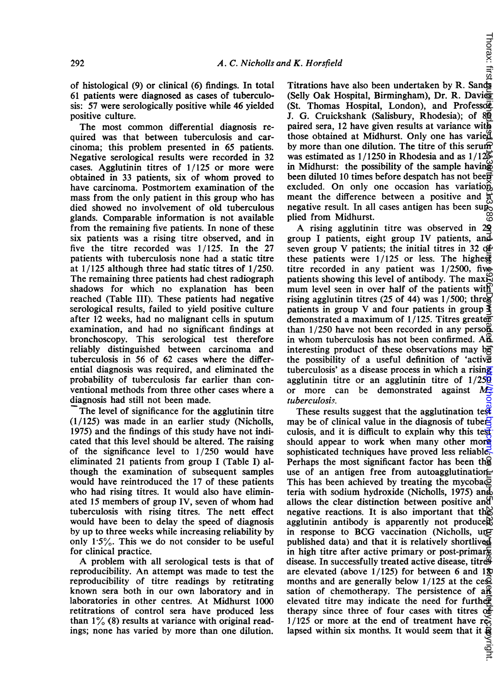of histological (9) or clinical (6) findings. In total 61 patients were diagnosed as cases of tuberculosis: 57 were serologically positive while 46 yielded positive culture.

The most common differential diagnosis required was that between tuberculosis and carcinoma; this problem presented in 65 patients. Negative serological results were recorded in 32 cases. Agglutinin titres of 1/125 or more were obtained in <sup>33</sup> patients, six of whom proved to have carcinoma. Postmortem examination of the mass from the only patient in this group who has died showed no involvement of old tuberculous glands. Comparable information is not available from the remaining five patients. In none of these six patients was a rising titre observed, and in five the titre recorded was 1/125. In the 27 patients with tuberculosis none had a static titre at 1/125 although three had static titres of 1/250. The remaining three patients had chest radiograph shadows for which no explanation has been reached (Table III). These patients had negative serological results, failed to yield positive culture after 12 weeks, had no malignant cells in sputum examination, and had no significant findings at bronchoscopy. This serological test therefore reliably distinguished between carcinoma and tuberculosis in 56 of 62 cases where the differential diagnosis was required, and eliminated the probability of tuberculosis far earlier than conventional methods from three other cases where a diagnosis had still not been made.

The level of significance for the agglutinin titre (1/125) was made in an earlier study (Nicholls, 1975) and the findings of this study have not indicated that this level should be altered. The raising of the significance level to 1/250 would have eliminated 21 patients from group I (Table I) although the examination of subsequent samples would have reintroduced the 17 of these patients who had rising titres. It would also have eliminated <sup>15</sup> members of group IV, seven of whom had tuberculosis with rising titres. The nett effect would have been to delay the speed of diagnosis by up to three weeks while increasing reliability by only  $1.5\%$ . This we do not consider to be useful for clinical practice.

A problem with all serological tests is that of reproducibility. An attempt was made to test the reproducibility of titre readings by retitrating known sera both in our own laboratory and in laboratories in other centres. At Midhurst 1000 retitrations of control sera have produced less than  $1\%$  (8) results at variance with original readings; none has varied by more than one dilution.

Titrations have also been undertaken by R. Sands (Selly Oak Hospital, Birmingham), Dr. R. Davies (St. Thomas Hospital, London), and Professor J. G. Cruickshank (Salisbury, Rhodesia); of 80 paired sera, 12 have given results at variance with those obtained at Midhurst. Only one has varied by more than one dilution. The titre of this serum was estimated as  $1/1250$  in Rhodesia and as  $1/125$ in Midhurst: the possibility of the sample having been diluted 10 times before despatch has not been excluded. On only one occasion has variation, meant the difference between a positive and  $\vec{a}$ negative result. In all cases antigen has been supplied from Midhurst.

Thorax: first

A rising agglutinin titre was observed in <sup>29</sup> group I patients, eight group IV patients, and seven group V patients; the initial titres in 32 of these patients were  $1/125$  or less. The highest titre recorded in any patient was 1/2500, five patients showing this level of antibody. The max $\mathbb{R}$ mum level seen in over half of the patients with rising agglutinin titres (25 of 44) was  $1/500$ ; three patients in group V and four patients in group  $\blacktriangle$ demonstrated a maximum of  $1/125$ . Titres greaters than  $1/250$  have not been recorded in any perso $\ddot{\mathbf{a}}$ in whom tuberculosis has not been confirmed.  $AB$ interesting product of these observations may be the possibility of a useful definition of 'active tuberculosis' as a disease process in which a rising agglutinin titre or an agglutinin titre of  $1/25\overline{9}$ or more can be demonstrated against  $M_{\text{c}}$ tuberculosis.

These results suggest that the agglutination test may be of clinical value in the diagnosis of tuberculosis, and it is difficult to explain why this test should appear to work when many other more sophisticated techniques have proved less reliable. Perhaps the most significant factor has been the use of an antigen free from autoagglutination. This has been achieved by treating the mycoba $\bar{\mathbb{Q}}$ teria with sodium hydroxide (Nicholls, 1975) and allows the clear distinction between positive and negative reactions. It is also important that the agglutinin antibody is apparently not produce $\mathfrak{g}$ in response to BCG vaccination (Nicholls, ung published data) and that it is relatively shortlived in high titre after active primary or post-primar $\frac{1}{6}$ disease. In successfully treated active disease, titres are elevated (above  $1/125$ ) for between 6 and  $1\text{ft}$ months and are generally below  $1/125$  at the ce $\vec{P}$ . sation of chemotherapy. The persistence of  $a\mathcal{R}$ elevated titre may indicate the need for further therapy since three of four cases with titres  $\overline{df}$  $1/125$  or more at the end of treatment have relapsed within six months. It would seem that it is<br>lapsed within six months. It would seem that it is on June 25, 2022 by guest. Protected by copyright. <http://thorax.bmj.com/> Thorax: first published as 10.1136/thx.31.3.289 on 1 June 1976. Downloaded from